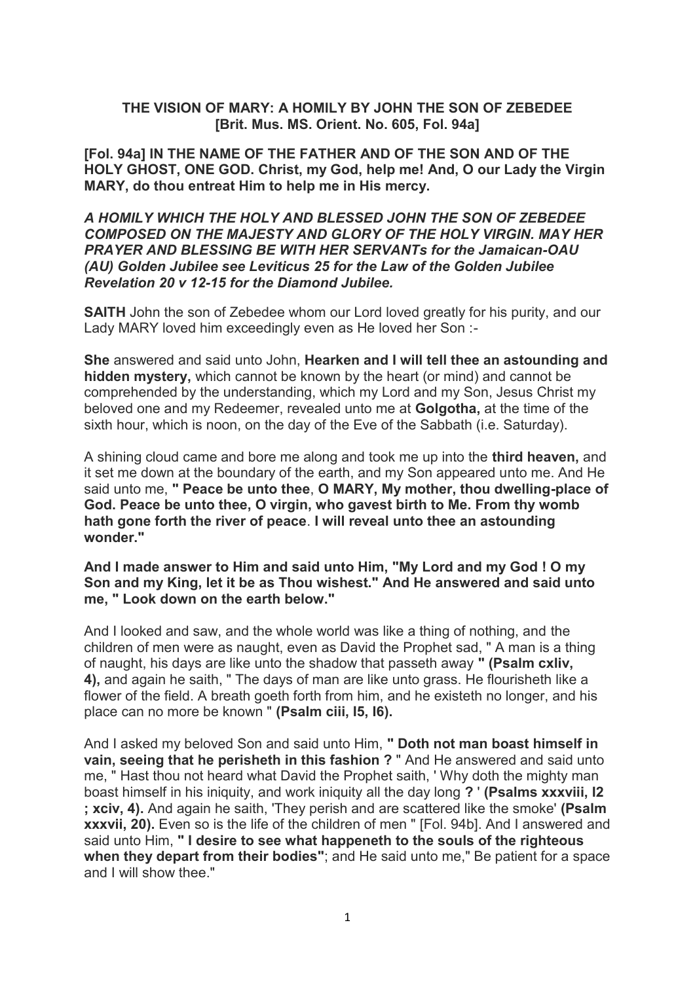## **THE VISION OF MARY: A HOMILY BY JOHN THE SON OF ZEBEDEE [Brit. Mus. MS. Orient. No. 605, Fol. 94a]**

**[Fol. 94a] IN THE NAME OF THE FATHER AND OF THE SON AND OF THE HOLY GHOST, ONE GOD. Christ, my God, help me! And, O our Lady the Virgin MARY, do thou entreat Him to help me in His mercy.**

## *A HOMILY WHICH THE HOLY AND BLESSED JOHN THE SON OF ZEBEDEE COMPOSED ON THE MAJESTY AND GLORY OF THE HOLY VIRGIN. MAY HER PRAYER AND BLESSING BE WITH HER SERVANTs for the Jamaican-OAU (AU) Golden Jubilee see Leviticus 25 for the Law of the Golden Jubilee Revelation 20 v 12-15 for the Diamond Jubilee.*

**SAITH** John the son of Zebedee whom our Lord loved greatly for his purity, and our Lady MARY loved him exceedingly even as He loved her Son :-

**She** answered and said unto John, **Hearken and I will tell thee an astounding and hidden mystery,** which cannot be known by the heart (or mind) and cannot be comprehended by the understanding, which my Lord and my Son, Jesus Christ my beloved one and my Redeemer, revealed unto me at **Golgotha,** at the time of the sixth hour, which is noon, on the day of the Eve of the Sabbath (i.e. Saturday).

A shining cloud came and bore me along and took me up into the **third heaven,** and it set me down at the boundary of the earth, and my Son appeared unto me. And He said unto me, **" Peace be unto thee**, **O MARY, My mother, thou dwelling-place of God. Peace be unto thee, O virgin, who gavest birth to Me. From thy womb hath gone forth the river of peace**. **I will reveal unto thee an astounding wonder."**

#### **And I made answer to Him and said unto Him, "My Lord and my God ! O my Son and my King, let it be as Thou wishest." And He answered and said unto me, " Look down on the earth below."**

And I looked and saw, and the whole world was like a thing of nothing, and the children of men were as naught, even as David the Prophet sad, " A man is a thing of naught, his days are like unto the shadow that passeth away **" (Psalm cxliv, 4),** and again he saith, " The days of man are like unto grass. He flourisheth like a flower of the field. A breath goeth forth from him, and he existeth no longer, and his place can no more be known " **(Psalm ciii, I5, I6).**

And I asked my beloved Son and said unto Him, **" Doth not man boast himself in vain, seeing that he perisheth in this fashion ?** " And He answered and said unto me, " Hast thou not heard what David the Prophet saith, ' Why doth the mighty man boast himself in his iniquity, and work iniquity all the day long **?** ' **(Psalms xxxviii, I2 ; xciv, 4).** And again he saith, 'They perish and are scattered like the smoke' **(Psalm xxxvii, 20).** Even so is the life of the children of men " [Fol. 94b]. And I answered and said unto Him, **" I desire to see what happeneth to the souls of the righteous when they depart from their bodies"**; and He said unto me," Be patient for a space and I will show thee."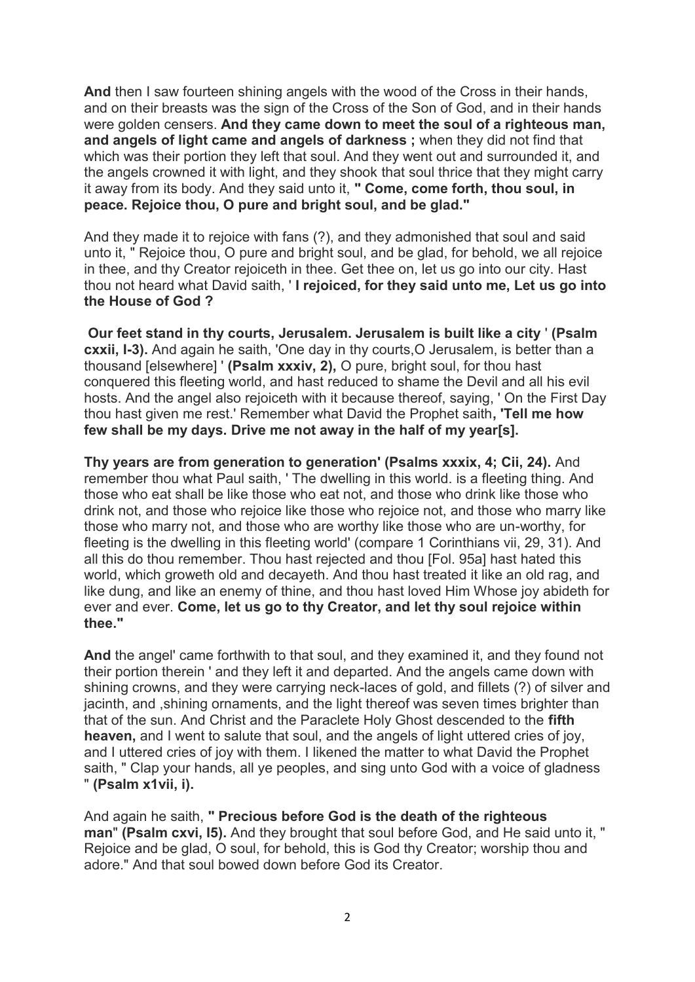**And** then I saw fourteen shining angels with the wood of the Cross in their hands, and on their breasts was the sign of the Cross of the Son of God, and in their hands were golden censers. **And they came down to meet the soul of a righteous man, and angels of light came and angels of darkness ;** when they did not find that which was their portion they left that soul. And they went out and surrounded it, and the angels crowned it with light, and they shook that soul thrice that they might carry it away from its body. And they said unto it, **" Come, come forth, thou soul, in peace. Rejoice thou, O pure and bright soul, and be glad."**

And they made it to rejoice with fans (?), and they admonished that soul and said unto it, " Rejoice thou, O pure and bright soul, and be glad, for behold, we all rejoice in thee, and thy Creator rejoiceth in thee. Get thee on, let us go into our city. Hast thou not heard what David saith, ' **I rejoiced, for they said unto me, Let us go into the House of God ?**

**Our feet stand in thy courts, Jerusalem. Jerusalem is built like a city** ' **(Psalm cxxii, I-3).** And again he saith, 'One day in thy courts, O Jerusalem, is better than a thousand [elsewhere] ' **(Psalm xxxiv, 2),** O pure, bright soul, for thou hast conquered this fleeting world, and hast reduced to shame the Devil and all his evil hosts. And the angel also rejoiceth with it because thereof, saying, ' On the First Day thou hast given me rest.' Remember what David the Prophet saith**, 'Tell me how few shall be my days. Drive me not away in the half of my year[s].**

**Thy years are from generation to generation' (Psalms xxxix, 4; Cii, 24).** And remember thou what Paul saith, ' The dwelling in this world. is a fleeting thing. And those who eat shall be like those who eat not, and those who drink like those who drink not, and those who rejoice like those who rejoice not, and those who marry like those who marry not, and those who are worthy like those who are un-worthy, for fleeting is the dwelling in this fleeting world' (compare 1 Corinthians vii, 29, 31). And all this do thou remember. Thou hast rejected and thou [Fol. 95a] hast hated this world, which groweth old and decayeth. And thou hast treated it like an old rag, and like dung, and like an enemy of thine, and thou hast loved Him Whose joy abideth for ever and ever. **Come, let us go to thy Creator, and let thy soul rejoice within thee."**

**And** the angel' came forthwith to that soul, and they examined it, and they found not their portion therein ' and they left it and departed. And the angels came down with shining crowns, and they were carrying neck-laces of gold, and fillets (?) of silver and jacinth, and ,shining ornaments, and the light thereof was seven times brighter than that of the sun. And Christ and the Paraclete Holy Ghost descended to the **fifth heaven,** and I went to salute that soul, and the angels of light uttered cries of joy, and I uttered cries of joy with them. I likened the matter to what David the Prophet saith, " Clap your hands, all ye peoples, and sing unto God with a voice of gladness " **(Psalm x1vii, i).**

And again he saith, **" Precious before God is the death of the righteous man**" **(Psalm cxvi, I5).** And they brought that soul before God, and He said unto it, " Rejoice and be glad, O soul, for behold, this is God thy Creator; worship thou and adore." And that soul bowed down before God its Creator.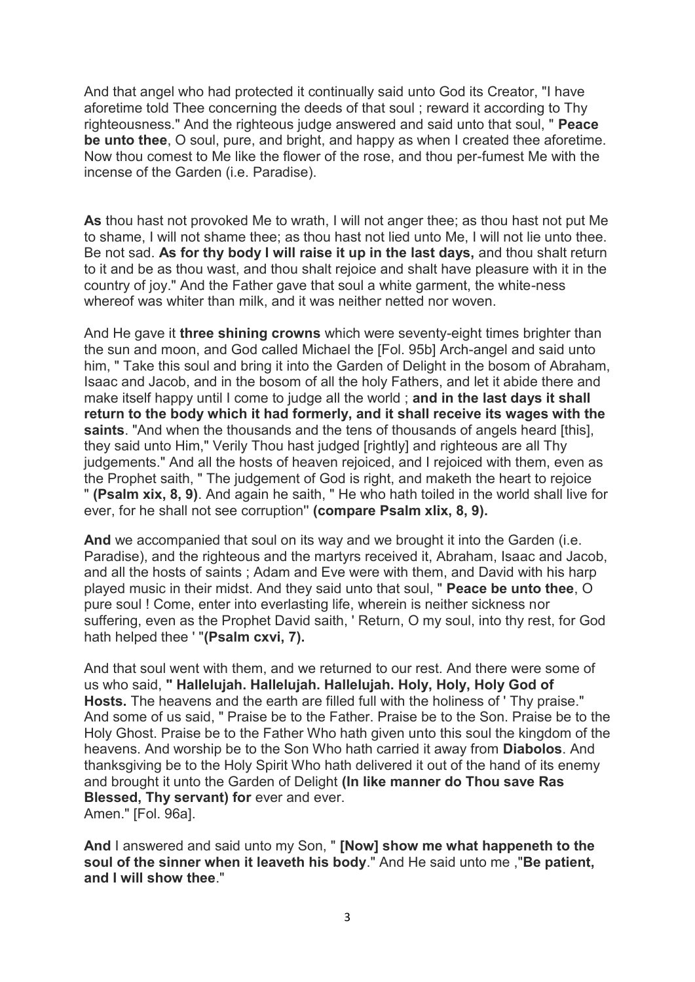And that angel who had protected it continually said unto God its Creator, "I have aforetime told Thee concerning the deeds of that soul ; reward it according to Thy righteousness." And the righteous judge answered and said unto that soul, " **Peace be unto thee**, O soul, pure, and bright, and happy as when I created thee aforetime. Now thou comest to Me like the flower of the rose, and thou per-fumest Me with the incense of the Garden (i.e. Paradise).

**As** thou hast not provoked Me to wrath, I will not anger thee; as thou hast not put Me to shame, I will not shame thee; as thou hast not lied unto Me, I will not lie unto thee. Be not sad. **As for thy body I will raise it up in the last days,** and thou shalt return to it and be as thou wast, and thou shalt rejoice and shalt have pleasure with it in the country of joy." And the Father gave that soul a white garment, the white-ness whereof was whiter than milk, and it was neither netted nor woven.

And He gave it **three shining crowns** which were seventy-eight times brighter than the sun and moon, and God called Michael the [Fol. 95b] Arch-angel and said unto him, " Take this soul and bring it into the Garden of Delight in the bosom of Abraham, Isaac and Jacob, and in the bosom of all the holy Fathers, and let it abide there and make itself happy until I come to judge all the world ; **and in the last days it shall return to the body which it had formerly, and it shall receive its wages with the saints**. "And when the thousands and the tens of thousands of angels heard [this], they said unto Him," Verily Thou hast judged [rightly] and righteous are all Thy judgements." And all the hosts of heaven rejoiced, and I rejoiced with them, even as the Prophet saith, " The judgement of God is right, and maketh the heart to rejoice " **(Psalm xix, 8, 9)**. And again he saith, " He who hath toiled in the world shall live for ever, for he shall not see corruption'' **(compare Psalm xlix, 8, 9).**

**And** we accompanied that soul on its way and we brought it into the Garden (i.e. Paradise), and the righteous and the martyrs received it, Abraham, Isaac and Jacob, and all the hosts of saints ; Adam and Eve were with them, and David with his harp played music in their midst. And they said unto that soul, " **Peace be unto thee**, O pure soul ! Come, enter into everlasting life, wherein is neither sickness nor suffering, even as the Prophet David saith, ' Return, O my soul, into thy rest, for God hath helped thee ' "**(Psalm cxvi, 7).**

And that soul went with them, and we returned to our rest. And there were some of us who said, **" Hallelujah. Hallelujah. Hallelujah. Holy, Holy, Holy God of Hosts.** The heavens and the earth are filled full with the holiness of ' Thy praise." And some of us said, " Praise be to the Father. Praise be to the Son. Praise be to the Holy Ghost. Praise be to the Father Who hath given unto this soul the kingdom of the heavens. And worship be to the Son Who hath carried it away from **Diabolos**. And thanksgiving be to the Holy Spirit Who hath delivered it out of the hand of its enemy and brought it unto the Garden of Delight **(In like manner do Thou save Ras Blessed, Thy servant) for** ever and ever. Amen." [Fol. 96a].

**And** I answered and said unto my Son, " **[Now] show me what happeneth to the soul of the sinner when it leaveth his body**." And He said unto me ,"**Be patient, and I will show thee**."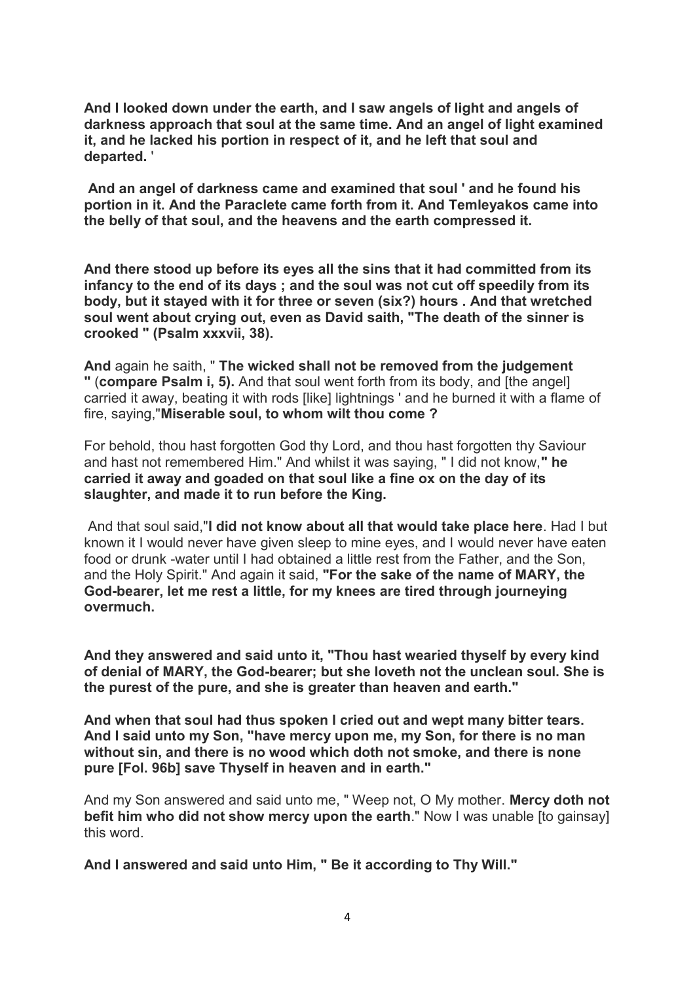**And I looked down under the earth, and I saw angels of light and angels of darkness approach that soul at the same time. And an angel of light examined it, and he lacked his portion in respect of it, and he left that soul and departed.** '

**And an angel of darkness came and examined that soul ' and he found his portion in it. And the Paraclete came forth from it. And Temleyakos came into the belly of that soul, and the heavens and the earth compressed it.**

**And there stood up before its eyes all the sins that it had committed from its infancy to the end of its days ; and the soul was not cut off speedily from its body, but it stayed with it for three or seven (six?) hours . And that wretched soul went about crying out, even as David saith, "The death of the sinner is crooked " (Psalm xxxvii, 38).**

**And** again he saith, " **The wicked shall not be removed from the judgement "** (**compare Psalm i, 5).** And that soul went forth from its body, and [the angel] carried it away, beating it with rods [like] lightnings ' and he burned it with a flame of fire, saying,"**Miserable soul, to whom wilt thou come ?**

For behold, thou hast forgotten God thy Lord, and thou hast forgotten thy Saviour and hast not remembered Him." And whilst it was saying, " I did not know,**" he carried it away and goaded on that soul like a fine ox on the day of its slaughter, and made it to run before the King.**

And that soul said,"**I did not know about all that would take place here**. Had I but known it I would never have given sleep to mine eyes, and I would never have eaten food or drunk -water until I had obtained a little rest from the Father, and the Son, and the Holy Spirit." And again it said, **"For the sake of the name of MARY, the God-bearer, let me rest a little, for my knees are tired through journeying overmuch.**

**And they answered and said unto it, "Thou hast wearied thyself by every kind of denial of MARY, the God-bearer; but she loveth not the unclean soul. She is the purest of the pure, and she is greater than heaven and earth."**

**And when that soul had thus spoken I cried out and wept many bitter tears. And I said unto my Son, "have mercy upon me, my Son, for there is no man without sin, and there is no wood which doth not smoke, and there is none pure [Fol. 96b] save Thyself in heaven and in earth."**

And my Son answered and said unto me, " Weep not, O My mother. **Mercy doth not befit him who did not show mercy upon the earth**." Now I was unable [to gainsay] this word.

**And I answered and said unto Him, " Be it according to Thy Will."**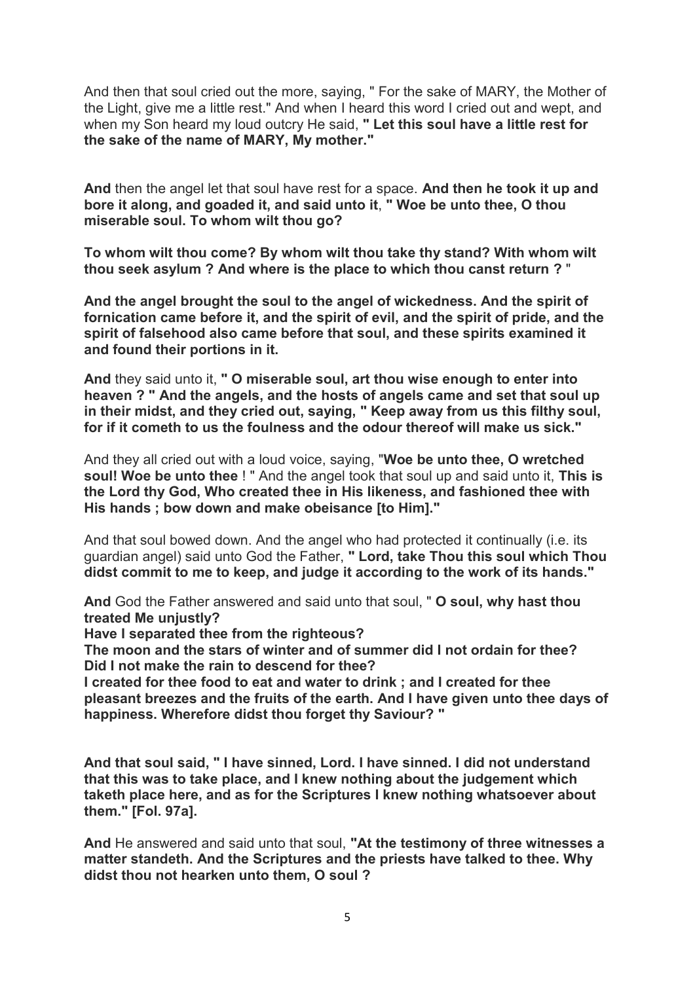And then that soul cried out the more, saying, " For the sake of MARY, the Mother of the Light, give me a little rest." And when I heard this word I cried out and wept, and when my Son heard my loud outcry He said, **" Let this soul have a little rest for the sake of the name of MARY, My mother."**

**And** then the angel let that soul have rest for a space. **And then he took it up and bore it along, and goaded it, and said unto it**, **" Woe be unto thee, O thou miserable soul. To whom wilt thou go?**

**To whom wilt thou come? By whom wilt thou take thy stand? With whom wilt thou seek asylum ? And where is the place to which thou canst return ?** "

**And the angel brought the soul to the angel of wickedness. And the spirit of fornication came before it, and the spirit of evil, and the spirit of pride, and the spirit of falsehood also came before that soul, and these spirits examined it and found their portions in it.**

**And** they said unto it, **" O miserable soul, art thou wise enough to enter into heaven ? " And the angels, and the hosts of angels came and set that soul up in their midst, and they cried out, saying, " Keep away from us this filthy soul, for if it cometh to us the foulness and the odour thereof will make us sick."**

And they all cried out with a loud voice, saying, "**Woe be unto thee, O wretched soul! Woe be unto thee** ! " And the angel took that soul up and said unto it, **This is the Lord thy God, Who created thee in His likeness, and fashioned thee with His hands ; bow down and make obeisance [to Him]."**

And that soul bowed down. And the angel who had protected it continually (i.e. its guardian angel) said unto God the Father, **" Lord, take Thou this soul which Thou didst commit to me to keep, and judge it according to the work of its hands."**

**And** God the Father answered and said unto that soul, " **O soul, why hast thou treated Me unjustly?**

**Have I separated thee from the righteous?**

**The moon and the stars of winter and of summer did I not ordain for thee? Did I not make the rain to descend for thee?**

**I created for thee food to eat and water to drink ; and I created for thee pleasant breezes and the fruits of the earth. And I have given unto thee days of happiness. Wherefore didst thou forget thy Saviour? "**

**And that soul said, " I have sinned, Lord. I have sinned. I did not understand that this was to take place, and I knew nothing about the judgement which taketh place here, and as for the Scriptures I knew nothing whatsoever about them." [Fol. 97a].**

**And** He answered and said unto that soul, **"At the testimony of three witnesses a matter standeth. And the Scriptures and the priests have talked to thee. Why didst thou not hearken unto them, O soul ?**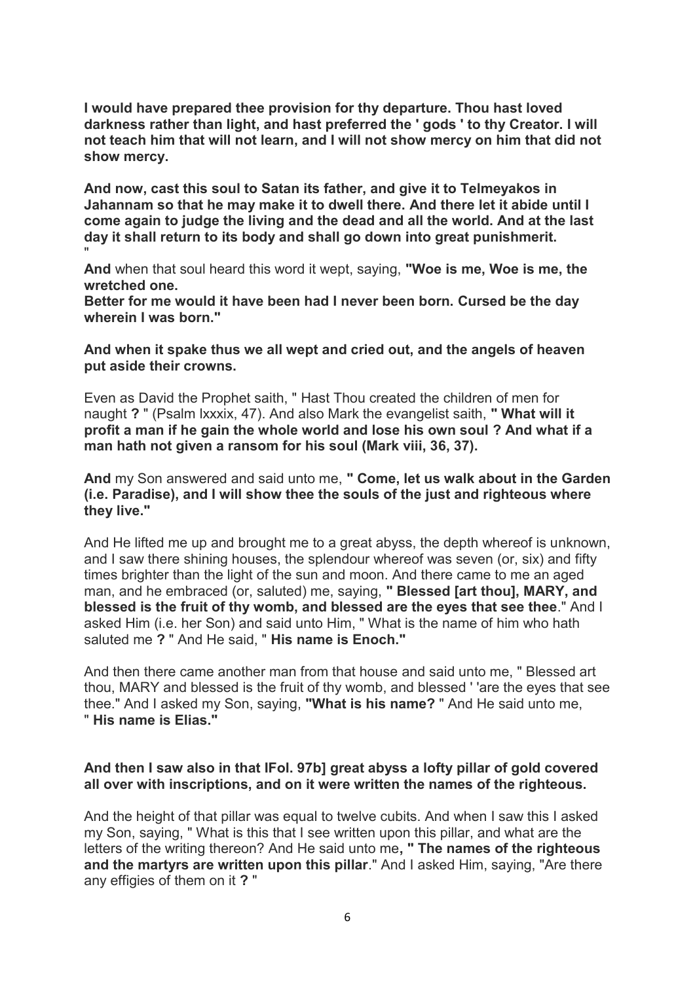**I would have prepared thee provision for thy departure. Thou hast loved darkness rather than light, and hast preferred the ' gods ' to thy Creator. I will not teach him that will not learn, and I will not show mercy on him that did not show mercy.**

**And now, cast this soul to Satan its father, and give it to Telmeyakos in Jahannam so that he may make it to dwell there. And there let it abide until I come again to judge the living and the dead and all the world. And at the last day it shall return to its body and shall go down into great punishmerit.** "

**And** when that soul heard this word it wept, saying, **"Woe is me, Woe is me, the wretched one.**

**Better for me would it have been had I never been born. Cursed be the day wherein I was born."**

**And when it spake thus we all wept and cried out, and the angels of heaven put aside their crowns.**

Even as David the Prophet saith, " Hast Thou created the children of men for naught **?** " (Psalm lxxxix, 47). And also Mark the evangelist saith, **" What will it profit a man if he gain the whole world and lose his own soul ? And what if a man hath not given a ransom for his soul (Mark viii, 36, 37).**

**And** my Son answered and said unto me, **" Come, let us walk about in the Garden (i.e. Paradise), and I will show thee the souls of the just and righteous where they live."**

And He lifted me up and brought me to a great abyss, the depth whereof is unknown, and I saw there shining houses, the splendour whereof was seven (or, six) and fifty times brighter than the light of the sun and moon. And there came to me an aged man, and he embraced (or, saluted) me, saying, **" Blessed [art thou], MARY, and blessed is the fruit of thy womb, and blessed are the eyes that see thee**." And I asked Him (i.e. her Son) and said unto Him, " What is the name of him who hath saluted me **?** " And He said, " **His name is Enoch."**

And then there came another man from that house and said unto me, " Blessed art thou, MARY and blessed is the fruit of thy womb, and blessed ' 'are the eyes that see thee." And I asked my Son, saying, **"What is his name?** " And He said unto me, " **His name is Elias."**

## **And then I saw also in that IFol. 97b] great abyss a lofty pillar of gold covered all over with inscriptions, and on it were written the names of the righteous.**

And the height of that pillar was equal to twelve cubits. And when I saw this I asked my Son, saying, " What is this that I see written upon this pillar, and what are the letters of the writing thereon? And He said unto me**, " The names of the righteous and the martyrs are written upon this pillar**." And I asked Him, saying, "Are there any effigies of them on it **?** "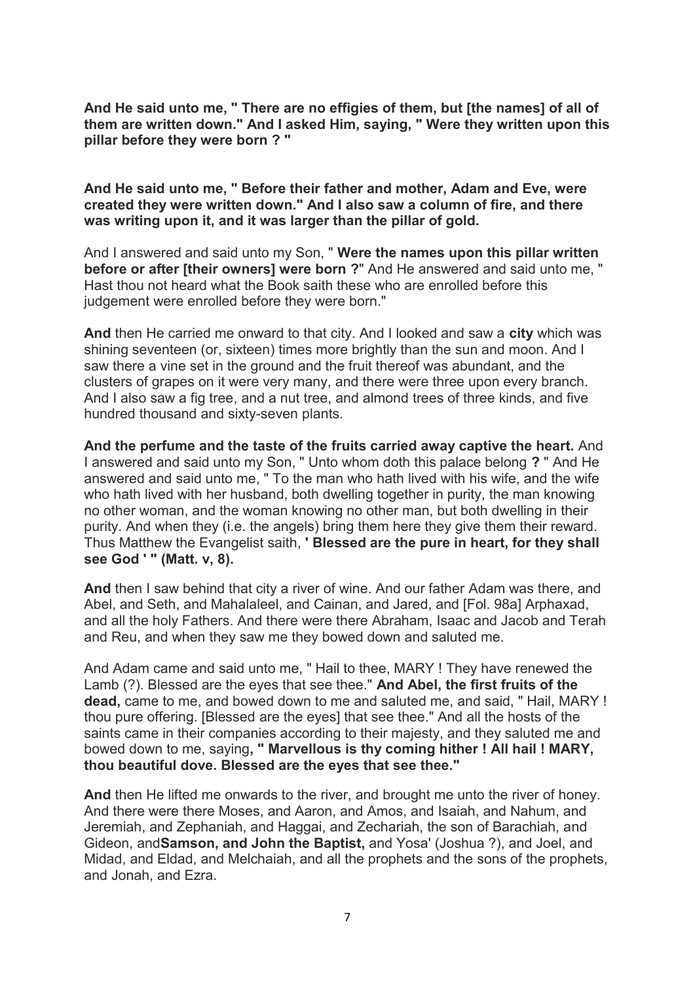**And He said unto me, " There are no effigies of them, but [the names] of all of them are written down." And I asked Him, saying, " Were they written upon this pillar before they were born ? "**

**And He said unto me, " Before their father and mother, Adam and Eve, were created they were written down." And I also saw a column of fire, and there was writing upon it, and it was larger than the pillar of gold.**

And I answered and said unto my Son, " **Were the names upon this pillar written before or after [their owners] were born ?**" And He answered and said unto me, " Hast thou not heard what the Book saith these who are enrolled before this judgement were enrolled before they were born."

**And** then He carried me onward to that city. And I looked and saw a **city** which was shining seventeen (or, sixteen) times more brightly than the sun and moon. And I saw there a vine set in the ground and the fruit thereof was abundant, and the clusters of grapes on it were very many, and there were three upon every branch. And I also saw a fig tree, and a nut tree, and almond trees of three kinds, and five hundred thousand and sixty-seven plants.

**And the perfume and the taste of the fruits carried away captive the heart.** And I answered and said unto my Son, " Unto whom doth this palace belong **?** " And He answered and said unto me, " To the man who hath lived with his wife, and the wife who hath lived with her husband, both dwelling together in purity, the man knowing no other woman, and the woman knowing no other man, but both dwelling in their purity. And when they (i.e. the angels) bring them here they give them their reward. Thus Matthew the Evangelist saith, **' Blessed are the pure in heart, for they shall see God ' " (Matt. v, 8).**

**And** then I saw behind that city a river of wine. And our father Adam was there, and Abel, and Seth, and Mahalaleel, and Cainan, and Jared, and [Fol. 98a] Arphaxad, and all the holy Fathers. And there were there Abraham, Isaac and Jacob and Terah and Reu, and when they saw me they bowed down and saluted me.

And Adam came and said unto me, " Hail to thee, MARY ! They have renewed the Lamb (?). Blessed are the eyes that see thee." **And Abel, the first fruits of the dead,** came to me, and bowed down to me and saluted me, and said, " Hail, MARY ! thou pure offering. [Blessed are the eyes] that see thee." And all the hosts of the saints came in their companies according to their majesty, and they saluted me and bowed down to me, saying**, " Marvellous is thy coming hither ! All hail ! MARY, thou beautiful dove. Blessed are the eyes that see thee."**

**And** then He lifted me onwards to the river, and brought me unto the river of honey. And there were there Moses, and Aaron, and Amos, and Isaiah, and Nahum, and Jeremiah, and Zephaniah, and Haggai, and Zechariah, the son of Barachiah, and Gideon, and**Samson, and John the Baptist,** and Yosa' (Joshua ?), and Joel, and Midad, and Eldad, and Melchaiah, and all the prophets and the sons of the prophets, and Jonah, and Ezra.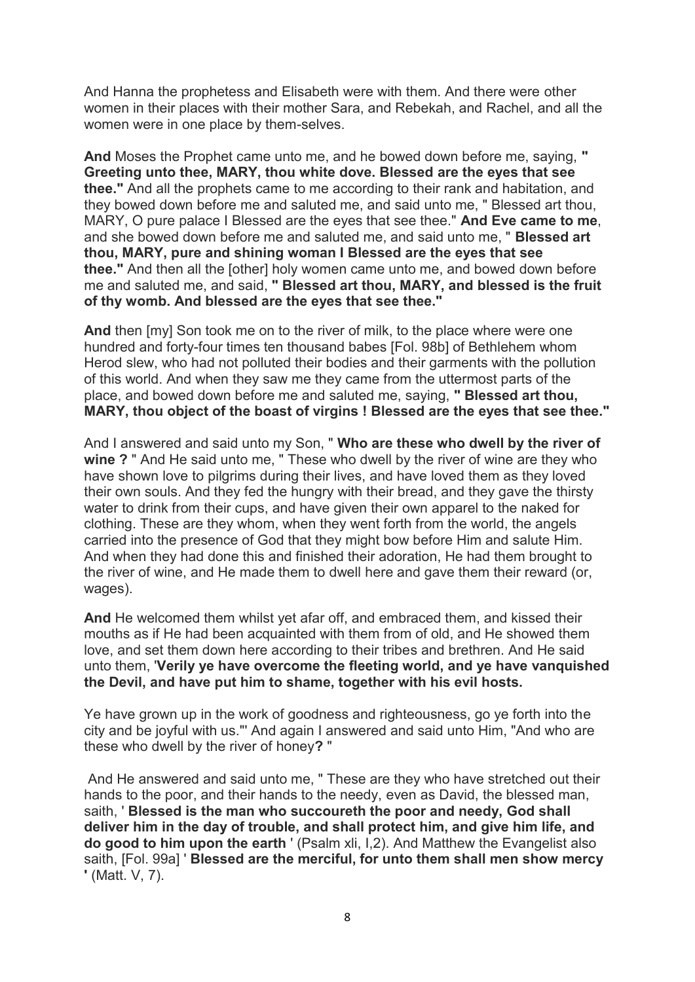And Hanna the prophetess and Elisabeth were with them. And there were other women in their places with their mother Sara, and Rebekah, and Rachel, and all the women were in one place by them-selves.

**And** Moses the Prophet came unto me, and he bowed down before me, saying, **" Greeting unto thee, MARY, thou white dove. Blessed are the eyes that see thee."** And all the prophets came to me according to their rank and habitation, and they bowed down before me and saluted me, and said unto me, " Blessed art thou, MARY, O pure palace I Blessed are the eyes that see thee." **And Eve came to me**, and she bowed down before me and saluted me, and said unto me, " **Blessed art thou, MARY, pure and shining woman I Blessed are the eyes that see thee."** And then all the [other] holy women came unto me, and bowed down before me and saluted me, and said, **" Blessed art thou, MARY, and blessed is the fruit of thy womb. And blessed are the eyes that see thee."**

**And** then [my] Son took me on to the river of milk, to the place where were one hundred and forty-four times ten thousand babes [Fol. 98b] of Bethlehem whom Herod slew, who had not polluted their bodies and their garments with the pollution of this world. And when they saw me they came from the uttermost parts of the place, and bowed down before me and saluted me, saying, **" Blessed art thou, MARY, thou object of the boast of virgins ! Blessed are the eyes that see thee."**

And I answered and said unto my Son, " **Who are these who dwell by the river of wine ?** " And He said unto me, " These who dwell by the river of wine are they who have shown love to pilgrims during their lives, and have loved them as they loved their own souls. And they fed the hungry with their bread, and they gave the thirsty water to drink from their cups, and have given their own apparel to the naked for clothing. These are they whom, when they went forth from the world, the angels carried into the presence of God that they might bow before Him and salute Him. And when they had done this and finished their adoration, He had them brought to the river of wine, and He made them to dwell here and gave them their reward (or, wages).

**And** He welcomed them whilst yet afar off, and embraced them, and kissed their mouths as if He had been acquainted with them from of old, and He showed them love, and set them down here according to their tribes and brethren. And He said unto them, '**Verily ye have overcome the fleeting world, and ye have vanquished the Devil, and have put him to shame, together with his evil hosts.**

Ye have grown up in the work of goodness and righteousness, go ye forth into the city and be joyful with us."' And again I answered and said unto Him, "And who are these who dwell by the river of honey**?** "

And He answered and said unto me, " These are they who have stretched out their hands to the poor, and their hands to the needy, even as David, the blessed man, saith, ' **Blessed is the man who succoureth the poor and needy, God shall deliver him in the day of trouble, and shall protect him, and give him life, and do good to him upon the earth** ' (Psalm xli, I,2). And Matthew the Evangelist also saith, [Fol. 99a] ' **Blessed are the merciful, for unto them shall men show mercy '** (Matt. V, 7).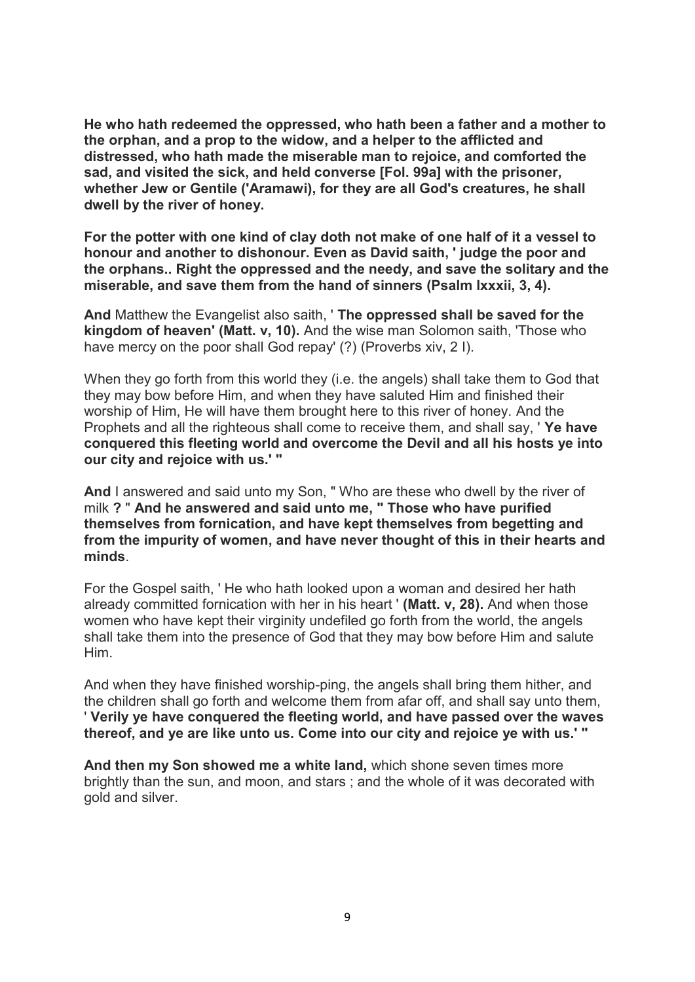**He who hath redeemed the oppressed, who hath been a father and a mother to the orphan, and a prop to the widow, and a helper to the afflicted and distressed, who hath made the miserable man to rejoice, and comforted the sad, and visited the sick, and held converse [Fol. 99a] with the prisoner, whether Jew or Gentile ('Aramawi), for they are all God's creatures, he shall dwell by the river of honey.**

**For the potter with one kind of clay doth not make of one half of it a vessel to honour and another to dishonour. Even as David saith, ' judge the poor and the orphans.. Right the oppressed and the needy, and save the solitary and the miserable, and save them from the hand of sinners (Psalm lxxxii, 3, 4).**

**And** Matthew the Evangelist also saith, ' **The oppressed shall be saved for the kingdom of heaven' (Matt. v, 10).** And the wise man Solomon saith, 'Those who have mercy on the poor shall God repay' (?) (Proverbs xiv, 2 I).

When they go forth from this world they (i.e. the angels) shall take them to God that they may bow before Him, and when they have saluted Him and finished their worship of Him, He will have them brought here to this river of honey. And the Prophets and all the righteous shall come to receive them, and shall say, ' **Ye have conquered this fleeting world and overcome the Devil and all his hosts ye into our city and rejoice with us.' "**

**And** I answered and said unto my Son, " Who are these who dwell by the river of milk **?** " **And he answered and said unto me, " Those who have purified themselves from fornication, and have kept themselves from begetting and from the impurity of women, and have never thought of this in their hearts and minds**.

For the Gospel saith, ' He who hath looked upon a woman and desired her hath already committed fornication with her in his heart ' **(Matt. v, 28).** And when those women who have kept their virginity undefiled go forth from the world, the angels shall take them into the presence of God that they may bow before Him and salute Him.

And when they have finished worship-ping, the angels shall bring them hither, and the children shall go forth and welcome them from afar off, and shall say unto them, ' **Verily ye have conquered the fleeting world, and have passed over the waves thereof, and ye are like unto us. Come into our city and rejoice ye with us.' "**

**And then my Son showed me a white land,** which shone seven times more brightly than the sun, and moon, and stars ; and the whole of it was decorated with gold and silver.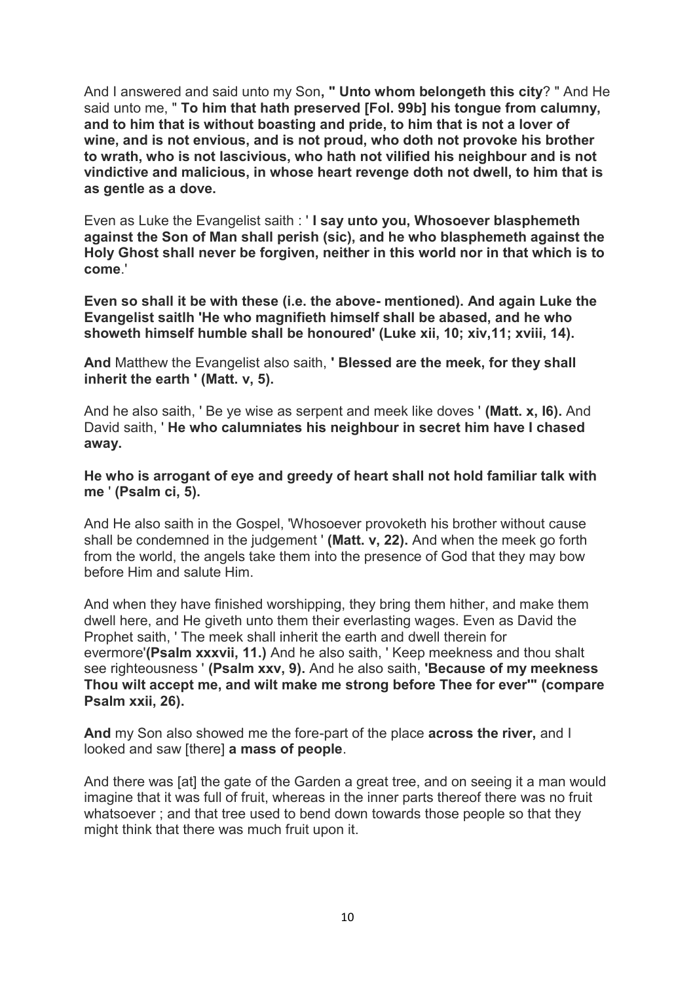And I answered and said unto my Son**, " Unto whom belongeth this city**? " And He said unto me, " **To him that hath preserved [Fol. 99b] his tongue from calumny, and to him that is without boasting and pride, to him that is not a lover of wine, and is not envious, and is not proud, who doth not provoke his brother to wrath, who is not lascivious, who hath not vilified his neighbour and is not vindictive and malicious, in whose heart revenge doth not dwell, to him that is as gentle as a dove.**

Even as Luke the Evangelist saith : ' **I say unto you, Whosoever blasphemeth against the Son of Man shall perish (sic), and he who blasphemeth against the Holy Ghost shall never be forgiven, neither in this world nor in that which is to come**.'

**Even so shall it be with these (i.e. the above- mentioned). And again Luke the Evangelist saitlh 'He who magnifieth himself shall be abased, and he who showeth himself humble shall be honoured' (Luke xii, 10; xiv,11; xviii, 14).**

**And** Matthew the Evangelist also saith, **' Blessed are the meek, for they shall inherit the earth ' (Matt. v, 5).**

And he also saith, ' Be ye wise as serpent and meek like doves ' **(Matt. x, I6).** And David saith, ' **He who calumniates his neighbour in secret him have I chased away.**

#### **He who is arrogant of eye and greedy of heart shall not hold familiar talk with me** ' **(Psalm ci, 5).**

And He also saith in the Gospel, 'Whosoever provoketh his brother without cause shall be condemned in the judgement ' **(Matt. v, 22).** And when the meek go forth from the world, the angels take them into the presence of God that they may bow before Him and salute Him.

And when they have finished worshipping, they bring them hither, and make them dwell here, and He giveth unto them their everlasting wages. Even as David the Prophet saith, ' The meek shall inherit the earth and dwell therein for evermore'**(Psalm xxxvii, 11.)** And he also saith, ' Keep meekness and thou shalt see righteousness ' **(Psalm xxv, 9).** And he also saith, **'Because of my meekness Thou wilt accept me, and wilt make me strong before Thee for ever'" (compare Psalm xxii, 26).**

**And** my Son also showed me the fore-part of the place **across the river,** and I looked and saw [there] **a mass of people**.

And there was [at] the gate of the Garden a great tree, and on seeing it a man would imagine that it was full of fruit, whereas in the inner parts thereof there was no fruit whatsoever ; and that tree used to bend down towards those people so that they might think that there was much fruit upon it.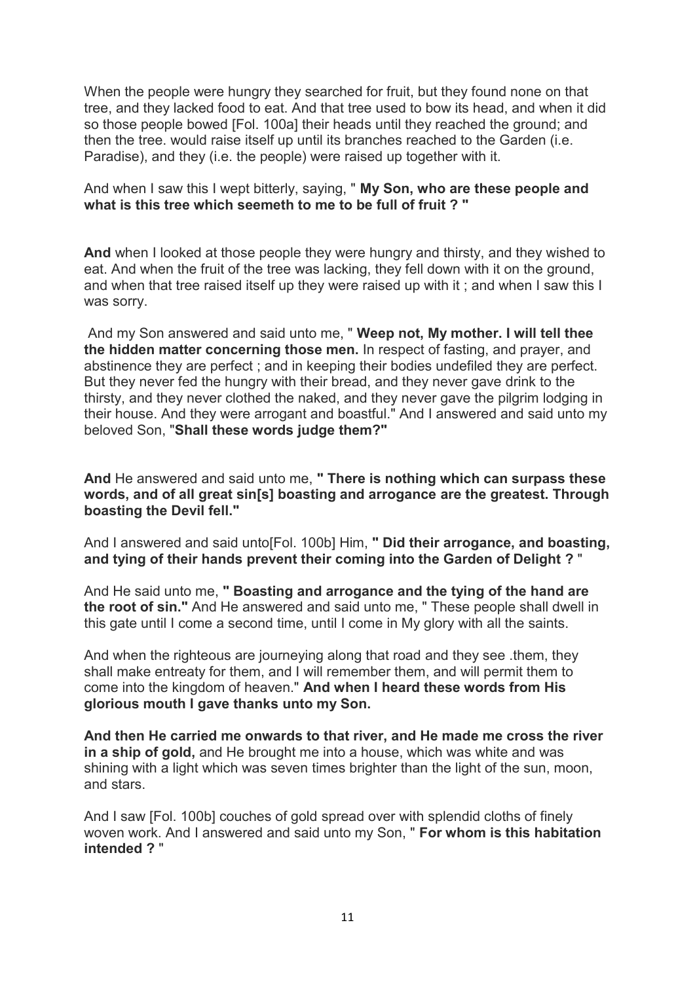When the people were hungry they searched for fruit, but they found none on that tree, and they lacked food to eat. And that tree used to bow its head, and when it did so those people bowed [Fol. 100a] their heads until they reached the ground; and then the tree. would raise itself up until its branches reached to the Garden (i.e. Paradise), and they (i.e. the people) were raised up together with it.

And when I saw this I wept bitterly, saying, " **My Son, who are these people and what is this tree which seemeth to me to be full of fruit ? "**

**And** when I looked at those people they were hungry and thirsty, and they wished to eat. And when the fruit of the tree was lacking, they fell down with it on the ground, and when that tree raised itself up they were raised up with it ; and when I saw this I was sorry.

And my Son answered and said unto me, " **Weep not, My mother. I will tell thee the hidden matter concerning those men.** In respect of fasting, and prayer, and abstinence they are perfect ; and in keeping their bodies undefiled they are perfect. But they never fed the hungry with their bread, and they never gave drink to the thirsty, and they never clothed the naked, and they never gave the pilgrim lodging in their house. And they were arrogant and boastful." And I answered and said unto my beloved Son, "**Shall these words judge them?"**

**And** He answered and said unto me, **" There is nothing which can surpass these words, and of all great sin[s] boasting and arrogance are the greatest. Through boasting the Devil fell."**

And I answered and said unto[Fol. 100b] Him, **" Did their arrogance, and boasting, and tying of their hands prevent their coming into the Garden of Delight ?** "

And He said unto me, **" Boasting and arrogance and the tying of the hand are the root of sin."** And He answered and said unto me, " These people shall dwell in this gate until I come a second time, until I come in My glory with all the saints.

And when the righteous are journeying along that road and they see .them, they shall make entreaty for them, and I will remember them, and will permit them to come into the kingdom of heaven." **And when I heard these words from His glorious mouth I gave thanks unto my Son.**

**And then He carried me onwards to that river, and He made me cross the river in a ship of gold,** and He brought me into a house, which was white and was shining with a light which was seven times brighter than the light of the sun, moon, and stars.

And I saw [Fol. 100b] couches of gold spread over with splendid cloths of finely woven work. And I answered and said unto my Son, " **For whom is this habitation intended ?** "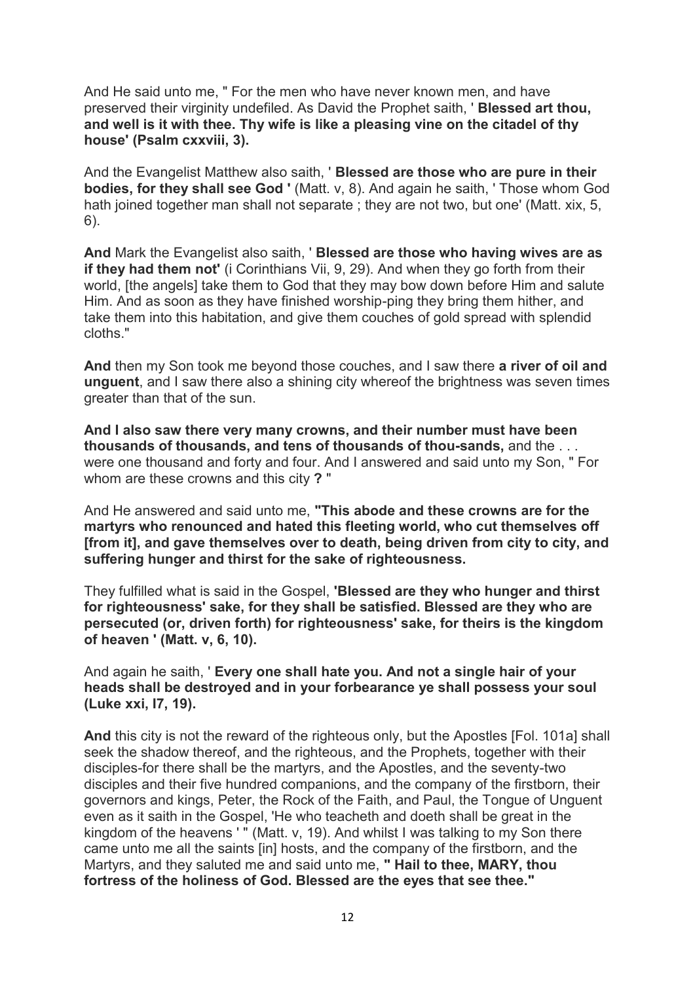And He said unto me, " For the men who have never known men, and have preserved their virginity undefiled. As David the Prophet saith, ' **Blessed art thou, and well is it with thee. Thy wife is like a pleasing vine on the citadel of thy house' (Psalm cxxviii, 3).**

And the Evangelist Matthew also saith, ' **Blessed are those who are pure in their bodies, for they shall see God '** (Matt. v, 8). And again he saith, ' Those whom God hath joined together man shall not separate; they are not two, but one' (Matt. xix, 5, 6).

**And** Mark the Evangelist also saith, ' **Blessed are those who having wives are as if they had them not'** (i Corinthians Vii, 9, 29). And when they go forth from their world, [the angels] take them to God that they may bow down before Him and salute Him. And as soon as they have finished worship-ping they bring them hither, and take them into this habitation, and give them couches of gold spread with splendid cloths."

**And** then my Son took me beyond those couches, and I saw there **a river of oil and unguent**, and I saw there also a shining city whereof the brightness was seven times greater than that of the sun.

**And I also saw there very many crowns, and their number must have been thousands of thousands, and tens of thousands of thou-sands,** and the . . . were one thousand and forty and four. And I answered and said unto my Son, " For whom are these crowns and this city **?** "

And He answered and said unto me, **"This abode and these crowns are for the martyrs who renounced and hated this fleeting world, who cut themselves off [from it], and gave themselves over to death, being driven from city to city, and suffering hunger and thirst for the sake of righteousness.**

They fulfilled what is said in the Gospel, **'Blessed are they who hunger and thirst for righteousness' sake, for they shall be satisfied. Blessed are they who are persecuted (or, driven forth) for righteousness' sake, for theirs is the kingdom of heaven ' (Matt. v, 6, 10).**

And again he saith, ' **Every one shall hate you. And not a single hair of your heads shall be destroyed and in your forbearance ye shall possess your soul (Luke xxi, I7, 19).**

**And** this city is not the reward of the righteous only, but the Apostles [Fol. 101a] shall seek the shadow thereof, and the righteous, and the Prophets, together with their disciples-for there shall be the martyrs, and the Apostles, and the seventy-two disciples and their five hundred companions, and the company of the firstborn, their governors and kings, Peter, the Rock of the Faith, and Paul, the Tongue of Unguent even as it saith in the Gospel, 'He who teacheth and doeth shall be great in the kingdom of the heavens ' " (Matt. v, 19). And whilst I was talking to my Son there came unto me all the saints [in] hosts, and the company of the firstborn, and the Martyrs, and they saluted me and said unto me, **" Hail to thee, MARY, thou fortress of the holiness of God. Blessed are the eyes that see thee."**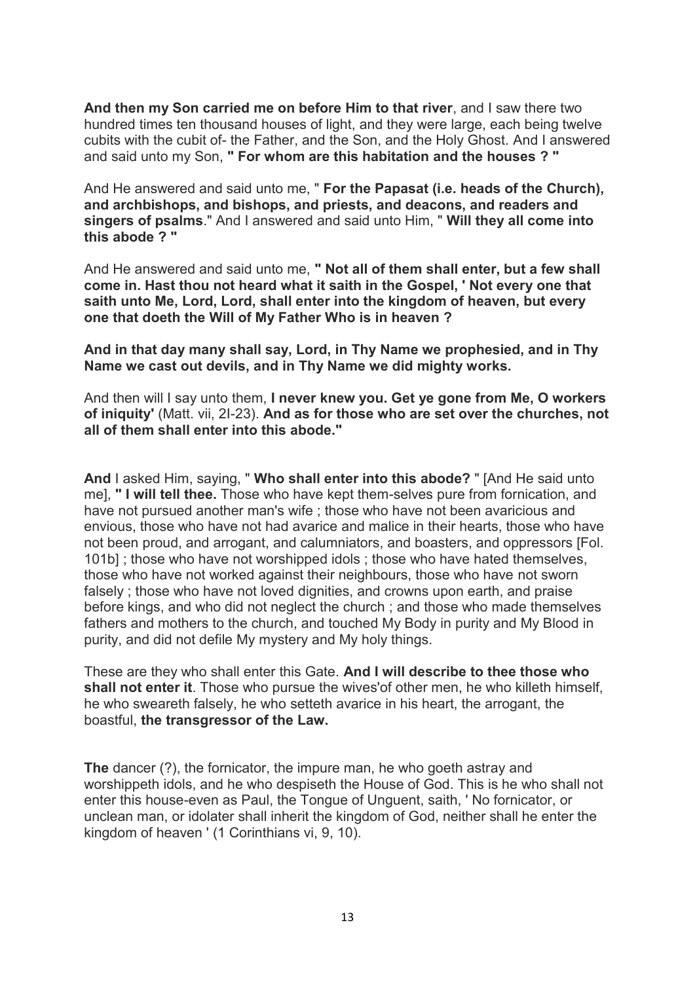**And then my Son carried me on before Him to that river**, and I saw there two hundred times ten thousand houses of light, and they were large, each being twelve cubits with the cubit of- the Father, and the Son, and the Holy Ghost. And I answered and said unto my Son, **" For whom are this habitation and the houses ? "**

And He answered and said unto me, " **For the Papasat (i.e. heads of the Church), and archbishops, and bishops, and priests, and deacons, and readers and singers of psalms**." And I answered and said unto Him, " **Will they all come into this abode ? "**

And He answered and said unto me, **" Not all of them shall enter, but a few shall come in. Hast thou not heard what it saith in the Gospel, ' Not every one that saith unto Me, Lord, Lord, shall enter into the kingdom of heaven, but every one that doeth the Will of My Father Who is in heaven ?**

**And in that day many shall say, Lord, in Thy Name we prophesied, and in Thy Name we cast out devils, and in Thy Name we did mighty works.**

And then will I say unto them, **I never knew you. Get ye gone from Me, O workers of iniquity'** (Matt. vii, 2I-23). **And as for those who are set over the churches, not all of them shall enter into this abode."**

**And** I asked Him, saying, " **Who shall enter into this abode?** " [And He said unto me], **" I will tell thee.** Those who have kept them-selves pure from fornication, and have not pursued another man's wife ; those who have not been avaricious and envious, those who have not had avarice and malice in their hearts, those who have not been proud, and arrogant, and calumniators, and boasters, and oppressors [Fol. 101b] ; those who have not worshipped idols ; those who have hated themselves, those who have not worked against their neighbours, those who have not sworn falsely ; those who have not loved dignities, and crowns upon earth, and praise before kings, and who did not neglect the church ; and those who made themselves fathers and mothers to the church, and touched My Body in purity and My Blood in purity, and did not defile My mystery and My holy things.

These are they who shall enter this Gate. **And I will describe to thee those who shall not enter it**. Those who pursue the wives'of other men, he who killeth himself, he who sweareth falsely, he who setteth avarice in his heart, the arrogant, the boastful, **the transgressor of the Law.**

**The** dancer (?), the fornicator, the impure man, he who goeth astray and worshippeth idols, and he who despiseth the House of God. This is he who shall not enter this house-even as Paul, the Tongue of Unguent, saith, ' No fornicator, or unclean man, or idolater shall inherit the kingdom of God, neither shall he enter the kingdom of heaven ' (1 Corinthians vi, 9, 10).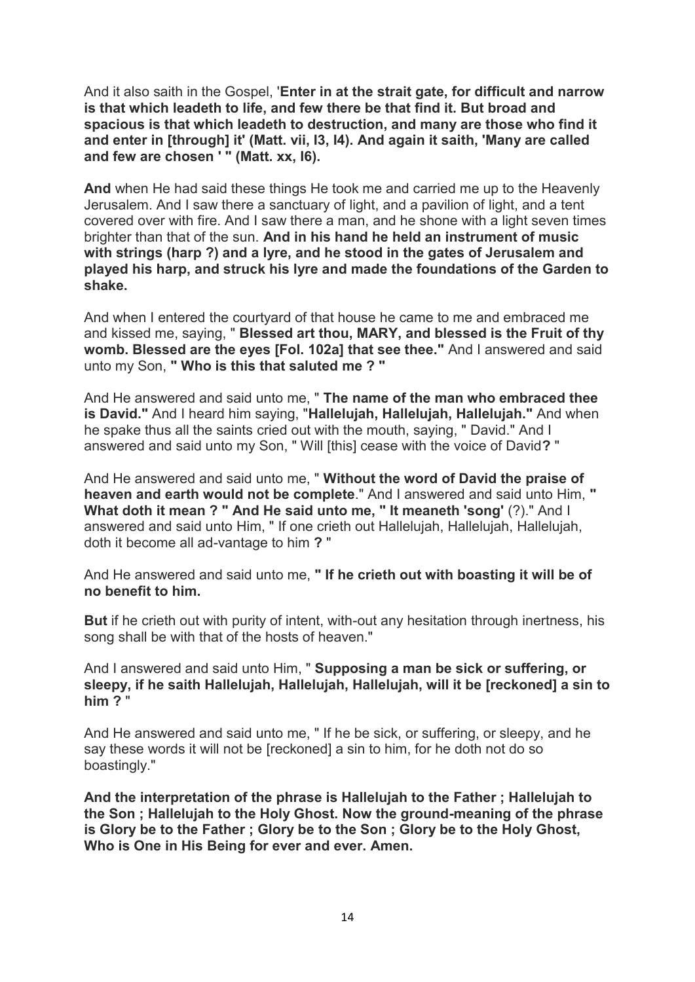And it also saith in the Gospel, '**Enter in at the strait gate, for difficult and narrow is that which leadeth to life, and few there be that find it. But broad and spacious is that which leadeth to destruction, and many are those who find it and enter in [through] it' (Matt. vii, I3, I4). And again it saith, 'Many are called and few are chosen ' " (Matt. xx, I6).**

**And** when He had said these things He took me and carried me up to the Heavenly Jerusalem. And I saw there a sanctuary of light, and a pavilion of light, and a tent covered over with fire. And I saw there a man, and he shone with a light seven times brighter than that of the sun. **And in his hand he held an instrument of music with strings (harp ?) and a lyre, and he stood in the gates of Jerusalem and played his harp, and struck his lyre and made the foundations of the Garden to shake.**

And when I entered the courtyard of that house he came to me and embraced me and kissed me, saying, " **Blessed art thou, MARY, and blessed is the Fruit of thy womb. Blessed are the eyes [Fol. 102a] that see thee."** And I answered and said unto my Son, **" Who is this that saluted me ? "**

And He answered and said unto me, " **The name of the man who embraced thee is David."** And I heard him saying, "**Hallelujah, Hallelujah, Hallelujah."** And when he spake thus all the saints cried out with the mouth, saying, " David." And I answered and said unto my Son, " Will [this] cease with the voice of David**?** "

And He answered and said unto me, " **Without the word of David the praise of heaven and earth would not be complete**." And I answered and said unto Him, **" What doth it mean ? " And He said unto me, " It meaneth 'song'** (?)." And I answered and said unto Him, " If one crieth out Hallelujah, Hallelujah, Hallelujah, doth it become all ad-vantage to him **?** "

And He answered and said unto me, **" If he crieth out with boasting it will be of no benefit to him.**

**But** if he crieth out with purity of intent, with-out any hesitation through inertness, his song shall be with that of the hosts of heaven."

And I answered and said unto Him, " **Supposing a man be sick or suffering, or sleepy, if he saith Hallelujah, Hallelujah, Hallelujah, will it be [reckoned] a sin to him ?** "

And He answered and said unto me, " If he be sick, or suffering, or sleepy, and he say these words it will not be [reckoned] a sin to him, for he doth not do so boastingly."

**And the interpretation of the phrase is Hallelujah to the Father ; Hallelujah to the Son ; Hallelujah to the Holy Ghost. Now the ground-meaning of the phrase is Glory be to the Father ; Glory be to the Son ; Glory be to the Holy Ghost, Who is One in His Being for ever and ever. Amen.**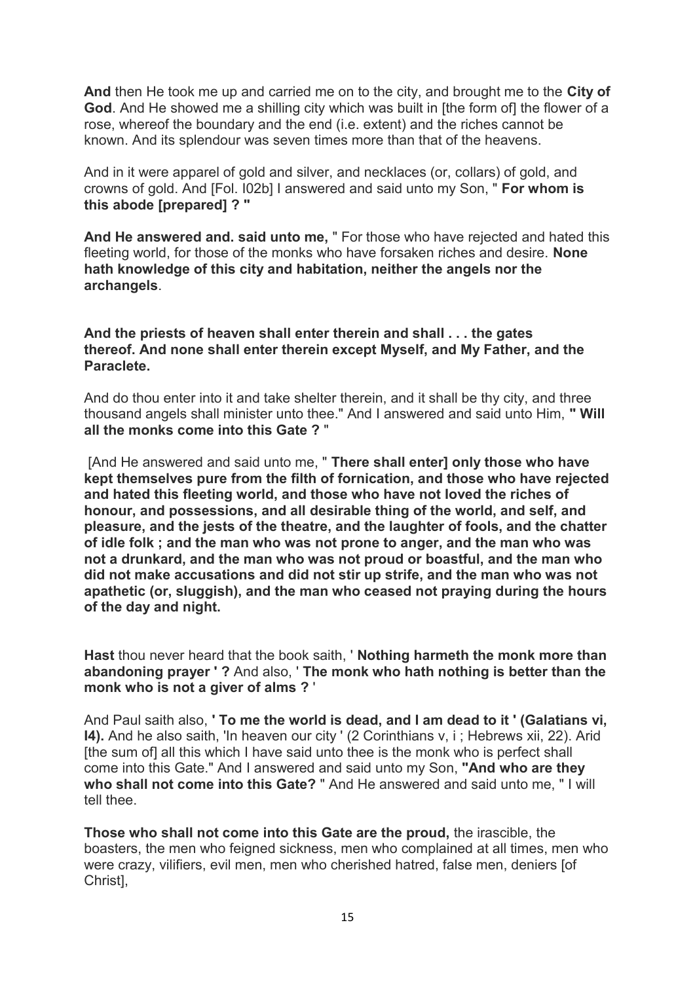**And** then He took me up and carried me on to the city, and brought me to the **City of God**. And He showed me a shilling city which was built in [the form of] the flower of a rose, whereof the boundary and the end (i.e. extent) and the riches cannot be known. And its splendour was seven times more than that of the heavens.

And in it were apparel of gold and silver, and necklaces (or, collars) of gold, and crowns of gold. And [Fol. I02b] I answered and said unto my Son, " **For whom is this abode [prepared] ? "**

**And He answered and. said unto me,** " For those who have rejected and hated this fleeting world, for those of the monks who have forsaken riches and desire. **None hath knowledge of this city and habitation, neither the angels nor the archangels**.

#### **And the priests of heaven shall enter therein and shall . . . the gates thereof. And none shall enter therein except Myself, and My Father, and the Paraclete.**

And do thou enter into it and take shelter therein, and it shall be thy city, and three thousand angels shall minister unto thee." And I answered and said unto Him, **" Will all the monks come into this Gate ?** "

[And He answered and said unto me, " **There shall enter] only those who have kept themselves pure from the filth of fornication, and those who have rejected and hated this fleeting world, and those who have not Ioved the riches of honour, and possessions, and all desirable thing of the world, and self, and pleasure, and the jests of the theatre, and the laughter of fools, and the chatter of idle folk ; and the man who was not prone to anger, and the man who was not a drunkard, and the man who was not proud or boastful, and the man who did not make accusations and did not stir up strife, and the man who was not apathetic (or, sluggish), and the man who ceased not praying during the hours of the day and night.**

**Hast** thou never heard that the book saith, ' **Nothing harmeth the monk more than abandoning prayer ' ?** And also, ' **The monk who hath nothing is better than the monk who is not a giver of alms ?** '

And Paul saith also, **' To me the world is dead, and I am dead to it ' (Galatians vi, I4).** And he also saith, 'In heaven our city ' (2 Corinthians v, i ; Hebrews xii, 22). Arid [the sum of] all this which I have said unto thee is the monk who is perfect shall come into this Gate." And I answered and said unto my Son, **"And who are they who shall not come into this Gate?** " And He answered and said unto me, " I will tell thee.

**Those who shall not come into this Gate are the proud,** the irascible, the boasters, the men who feigned sickness, men who complained at all times, men who were crazy, vilifiers, evil men, men who cherished hatred, false men, deniers [of Christ],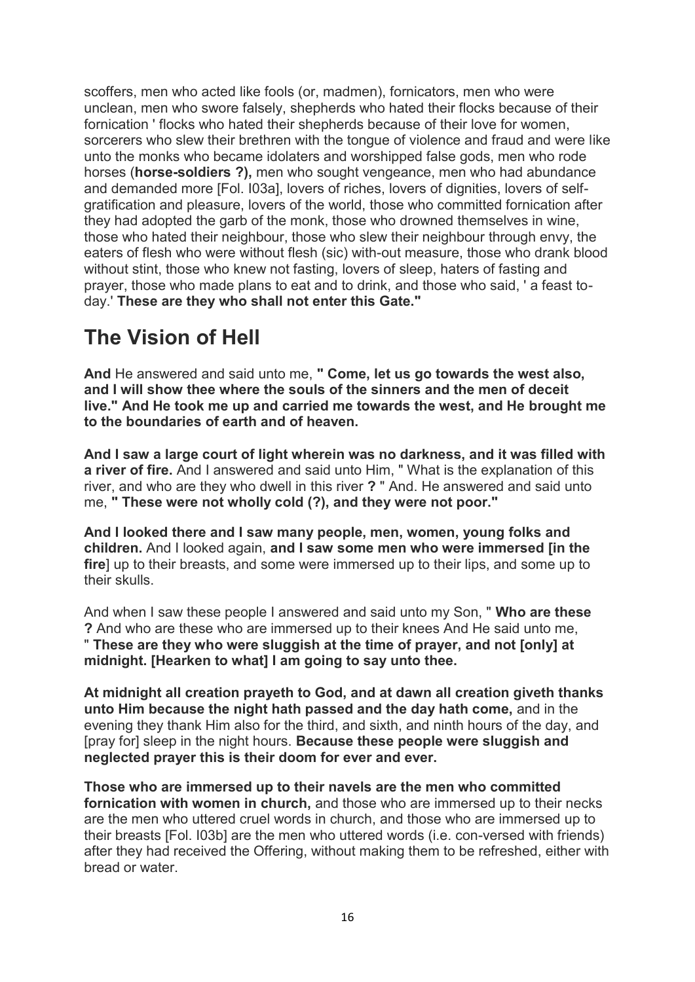scoffers, men who acted like fools (or, madmen), fornicators, men who were unclean, men who swore falsely, shepherds who hated their flocks because of their fornication ' flocks who hated their shepherds because of their love for women, sorcerers who slew their brethren with the tongue of violence and fraud and were like unto the monks who became idolaters and worshipped false gods, men who rode horses (**horse-soldiers ?),** men who sought vengeance, men who had abundance and demanded more [Fol. I03a], lovers of riches, lovers of dignities, lovers of selfgratification and pleasure, lovers of the world, those who committed fornication after they had adopted the garb of the monk, those who drowned themselves in wine, those who hated their neighbour, those who slew their neighbour through envy, the eaters of flesh who were without flesh (sic) with-out measure, those who drank blood without stint, those who knew not fasting, lovers of sleep, haters of fasting and prayer, those who made plans to eat and to drink, and those who said, ' a feast today.' **These are they who shall not enter this Gate."**

# **The Vision of Hell**

**And** He answered and said unto me, **" Come, let us go towards the west also, and I will show thee where the souls of the sinners and the men of deceit live." And He took me up and carried me towards the west, and He brought me to the boundaries of earth and of heaven.**

**And I saw a large court of light wherein was no darkness, and it was filled with a river of fire.** And I answered and said unto Him, " What is the explanation of this river, and who are they who dwell in this river **?** " And. He answered and said unto me, **" These were not wholly cold (?), and they were not poor."**

**And I looked there and I saw many people, men, women, young folks and children.** And I looked again, **and I saw some men who were immersed [in the fire**] up to their breasts, and some were immersed up to their lips, and some up to their skulls.

And when I saw these people I answered and said unto my Son, " **Who are these ?** And who are these who are immersed up to their knees And He said unto me, " **These are they who were sluggish at the time of prayer, and not [only] at midnight. [Hearken to what] I am going to say unto thee.**

**At midnight all creation prayeth to God, and at dawn all creation giveth thanks unto Him because the night hath passed and the day hath come,** and in the evening they thank Him also for the third, and sixth, and ninth hours of the day, and [pray for] sleep in the night hours. **Because these people were sluggish and neglected prayer this is their doom for ever and ever.**

**Those who are immersed up to their navels are the men who committed fornication with women in church,** and those who are immersed up to their necks are the men who uttered cruel words in church, and those who are immersed up to their breasts [Fol. I03b] are the men who uttered words (i.e. con-versed with friends) after they had received the Offering, without making them to be refreshed, either with bread or water.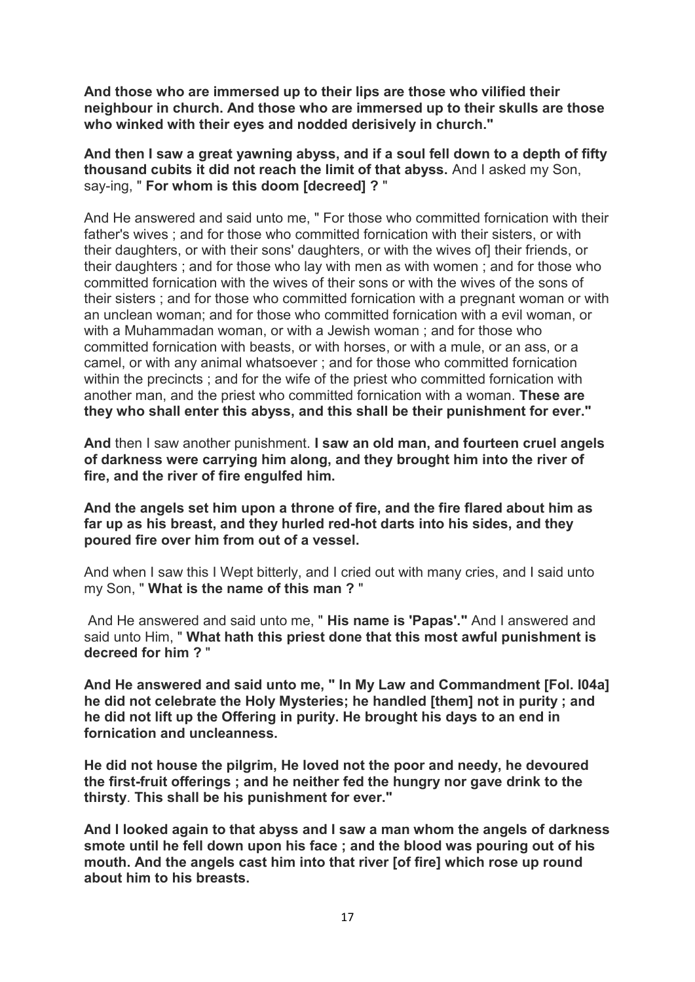**And those who are immersed up to their lips are those who vilified their neighbour in church. And those who are immersed up to their skulls are those who winked with their eyes and nodded derisively in church."**

**And then I saw a great yawning abyss, and if a soul fell down to a depth of fifty thousand cubits it did not reach the limit of that abyss.** And I asked my Son, say-ing, " **For whom is this doom [decreed] ?** "

And He answered and said unto me, " For those who committed fornication with their father's wives ; and for those who committed fornication with their sisters, or with their daughters, or with their sons' daughters, or with the wives of] their friends, or their daughters ; and for those who lay with men as with women ; and for those who committed fornication with the wives of their sons or with the wives of the sons of their sisters ; and for those who committed fornication with a pregnant woman or with an unclean woman; and for those who committed fornication with a evil woman, or with a Muhammadan woman, or with a Jewish woman ; and for those who committed fornication with beasts, or with horses, or with a mule, or an ass, or a camel, or with any animal whatsoever ; and for those who committed fornication within the precincts ; and for the wife of the priest who committed fornication with another man, and the priest who committed fornication with a woman. **These are they who shall enter this abyss, and this shall be their punishment for ever."**

**And** then I saw another punishment. **I saw an old man, and fourteen cruel angels of darkness were carrying him along, and they brought him into the river of fire, and the river of fire engulfed him.**

**And the angels set him upon a throne of fire, and the fire flared about him as far up as his breast, and they hurled red-hot darts into his sides, and they poured fire over him from out of a vessel.**

And when I saw this I Wept bitterly, and I cried out with many cries, and I said unto my Son, " **What is the name of this man ?** "

And He answered and said unto me, " **His name is 'Papas'."** And I answered and said unto Him, " **What hath this priest done that this most awful punishment is decreed for him ?** "

**And He answered and said unto me, " In My Law and Commandment [Fol. I04a] he did not celebrate the Holy Mysteries; he handled [them] not in purity ; and he did not lift up the Offering in purity. He brought his days to an end in fornication and uncleanness.**

**He did not house the pilgrim, He loved not the poor and needy, he devoured the first-fruit offerings ; and he neither fed the hungry nor gave drink to the thirsty**. **This shall be his punishment for ever."**

**And I looked again to that abyss and I saw a man whom the angels of darkness smote until he fell down upon his face ; and the blood was pouring out of his mouth. And the angels cast him into that river [of fire] which rose up round about him to his breasts.**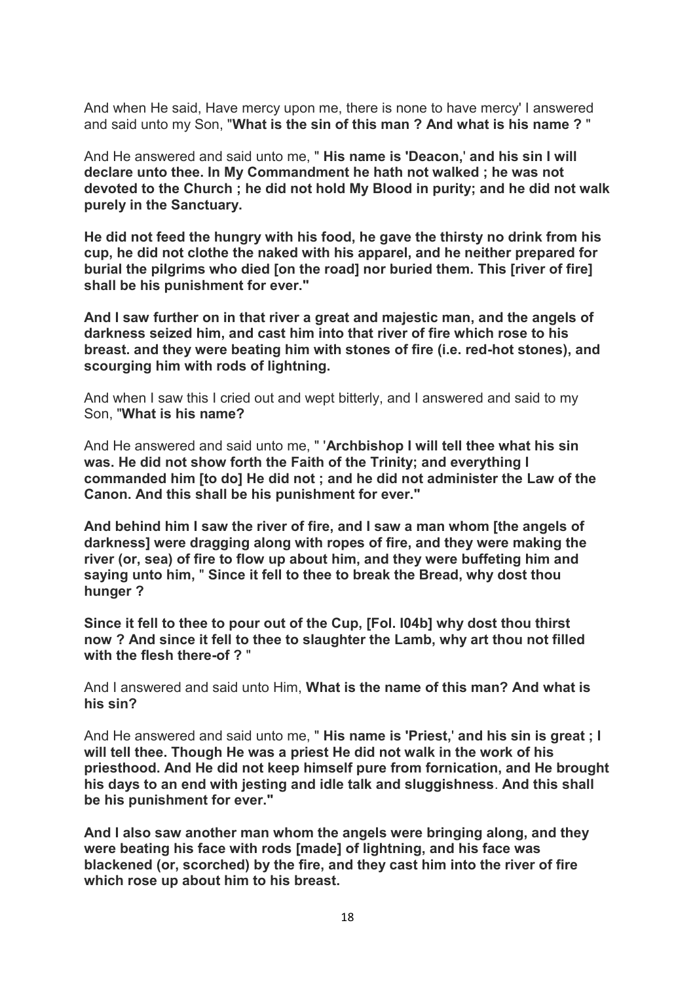And when He said, Have mercy upon me, there is none to have mercy' I answered and said unto my Son, "**What is the sin of this man ? And what is his name ?** "

And He answered and said unto me, " **His name is 'Deacon,**' **and his sin I will declare unto thee. In My Commandment he hath not walked ; he was not devoted to the Church ; he did not hold My Blood in purity; and he did not walk purely in the Sanctuary.**

**He did not feed the hungry with his food, he gave the thirsty no drink from his cup, he did not clothe the naked with his apparel, and he neither prepared for burial the pilgrims who died [on the road] nor buried them. This [river of fire] shall be his punishment for ever."**

**And I saw further on in that river a great and majestic man, and the angels of darkness seized him, and cast him into that river of fire which rose to his breast. and they were beating him with stones of fire (i.e. red-hot stones), and scourging him with rods of lightning.**

And when I saw this I cried out and wept bitterly, and I answered and said to my Son, "**What is his name?**

And He answered and said unto me, " '**Archbishop I will tell thee what his sin was. He did not show forth the Faith of the Trinity; and everything I commanded him [to do] He did not ; and he did not administer the Law of the Canon. And this shall be his punishment for ever."**

**And behind him I saw the river of fire, and I saw a man whom [the angels of darkness] were dragging along with ropes of fire, and they were making the river (or, sea) of fire to flow up about him, and they were buffeting him and saying unto him,** " **Since it fell to thee to break the Bread, why dost thou hunger ?**

**Since it fell to thee to pour out of the Cup, [Fol. I04b] why dost thou thirst now ? And since it fell to thee to slaughter the Lamb, why art thou not filled with the flesh there-of ?** "

And I answered and said unto Him, **What is the name of this man? And what is his sin?**

And He answered and said unto me, " **His name is 'Priest,**' **and his sin is great ; I will tell thee. Though He was a priest He did not walk in the work of his priesthood. And He did not keep himself pure from fornication, and He brought his days to an end with jesting and idle talk and sluggishness**. **And this shall be his punishment for ever."**

**And I also saw another man whom the angels were bringing along, and they were beating his face with rods [made] of lightning, and his face was blackened (or, scorched) by the fire, and they cast him into the river of fire which rose up about him to his breast.**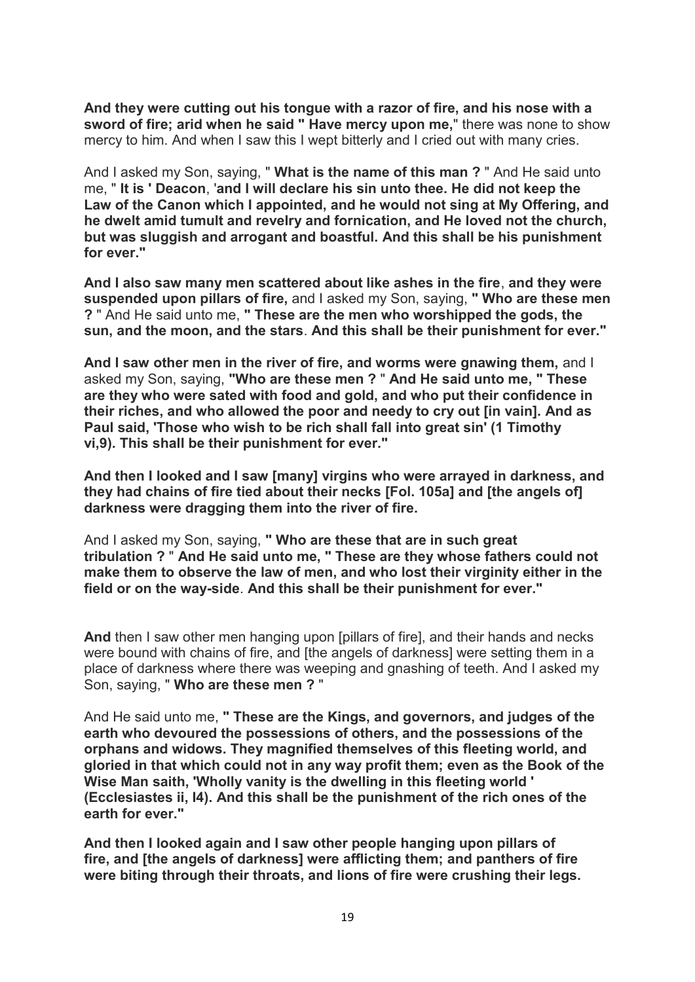**And they were cutting out his tongue with a razor of fire, and his nose with a sword of fire; arid when he said " Have mercy upon me,**" there was none to show mercy to him. And when I saw this I wept bitterly and I cried out with many cries.

And I asked my Son, saying, " **What is the name of this man ?** " And He said unto me, " **It is ' Deacon**, '**and I will declare his sin unto thee. He did not keep the Law of the Canon which I appointed, and he would not sing at My Offering, and he dwelt amid tumult and revelry and fornication, and He loved not the church, but was sluggish and arrogant and boastful. And this shall be his punishment for ever."**

**And I also saw many men scattered about like ashes in the fire**, **and they were suspended upon pillars of fire,** and I asked my Son, saying, **" Who are these men ?** " And He said unto me, **" These are the men who worshipped the gods, the sun, and the moon, and the stars**. **And this shall be their punishment for ever."**

**And I saw other men in the river of fire, and worms were gnawing them,** and I asked my Son, saying, **"Who are these men ?** " **And He said unto me, " These are they who were sated with food and gold, and who put their confidence in their riches, and who allowed the poor and needy to cry out [in vain]. And as Paul said, 'Those who wish to be rich shall fall into great sin' (1 Timothy vi,9). This shall be their punishment for ever."**

**And then I looked and I saw [many] virgins who were arrayed in darkness, and they had chains of fire tied about their necks [Fol. 105a] and [the angels of] darkness were dragging them into the river of fire.**

And I asked my Son, saying, **" Who are these that are in such great tribulation ?** " **And He said unto me, " These are they whose fathers could not make them to observe the law of men, and who lost their virginity either in the field or on the way-side**. **And this shall be their punishment for ever."**

**And** then I saw other men hanging upon [pillars of fire], and their hands and necks were bound with chains of fire, and [the angels of darkness] were setting them in a place of darkness where there was weeping and gnashing of teeth. And I asked my Son, saying, " **Who are these men ?** "

And He said unto me, **" These are the Kings, and governors, and judges of the earth who devoured the possessions of others, and the possessions of the orphans and widows. They magnified themselves of this fleeting world, and gloried in that which could not in any way profit them; even as the Book of the Wise Man saith, 'Wholly vanity is the dwelling in this fleeting world ' (Ecclesiastes ii, I4). And this shall be the punishment of the rich ones of the earth for ever."**

**And then I looked again and I saw other people hanging upon pillars of fire, and [the angels of darkness] were afflicting them; and panthers of fire were biting through their throats, and lions of fire were crushing their legs.**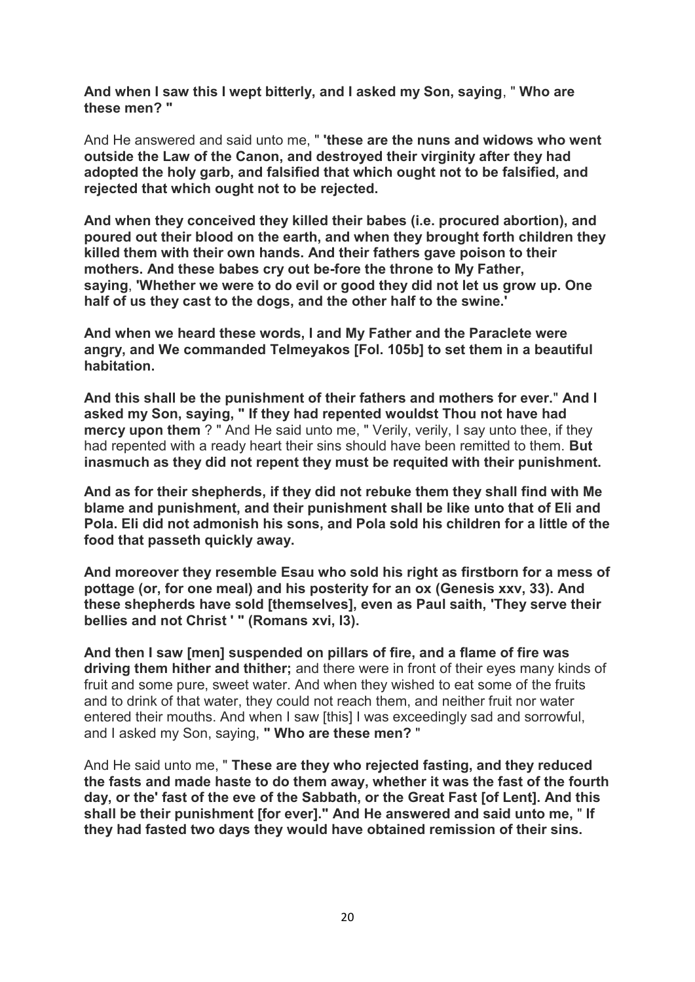**And when I saw this I wept bitterly, and I asked my Son, saying**, " **Who are these men? "**

And He answered and said unto me, " **'these are the nuns and widows who went outside the Law of the Canon, and destroyed their virginity after they had adopted the holy garb, and falsified that which ought not to be falsified, and rejected that which ought not to be rejected.**

**And when they conceived they killed their babes (i.e. procured abortion), and poured out their blood on the earth, and when they brought forth children they killed them with their own hands. And their fathers gave poison to their mothers. And these babes cry out be-fore the throne to My Father, saying**, **'Whether we were to do evil or good they did not let us grow up. One half of us they cast to the dogs, and the other half to the swine.'**

**And when we heard these words, I and My Father and the Paraclete were angry, and We commanded TeImeyakos [Fol. 105b] to set them in a beautiful habitation.**

**And this shall be the punishment of their fathers and mothers for ever.**" **And I asked my Son, saying, " If they had repented wouldst Thou not have had mercy upon them** ? " And He said unto me, " Verily, verily, I say unto thee, if they had repented with a ready heart their sins should have been remitted to them. **But inasmuch as they did not repent they must be requited with their punishment.**

**And as for their shepherds, if they did not rebuke them they shall find with Me blame and punishment, and their punishment shall be like unto that of Eli and Pola. Eli did not admonish his sons, and Pola sold his children for a little of the food that passeth quickly away.**

**And moreover they resemble Esau who sold his right as firstborn for a mess of pottage (or, for one meal) and his posterity for an ox (Genesis xxv, 33). And these shepherds have sold [themselves], even as Paul saith, 'They serve their bellies and not Christ ' " (Romans xvi, I3).**

**And then I saw [men] suspended on pillars of fire, and a flame of fire was driving them hither and thither;** and there were in front of their eyes many kinds of fruit and some pure, sweet water. And when they wished to eat some of the fruits and to drink of that water, they could not reach them, and neither fruit nor water entered their mouths. And when I saw [this] I was exceedingly sad and sorrowful, and I asked my Son, saying, **" Who are these men?** "

And He said unto me, " **These are they who rejected fasting, and they reduced the fasts and made haste to do them away, whether it was the fast of the fourth day, or the' fast of the eve of the Sabbath, or the Great Fast [of Lent]. And this shall be their punishment [for ever]." And He answered and said unto me,** " **If they had fasted two days they would have obtained remission of their sins.**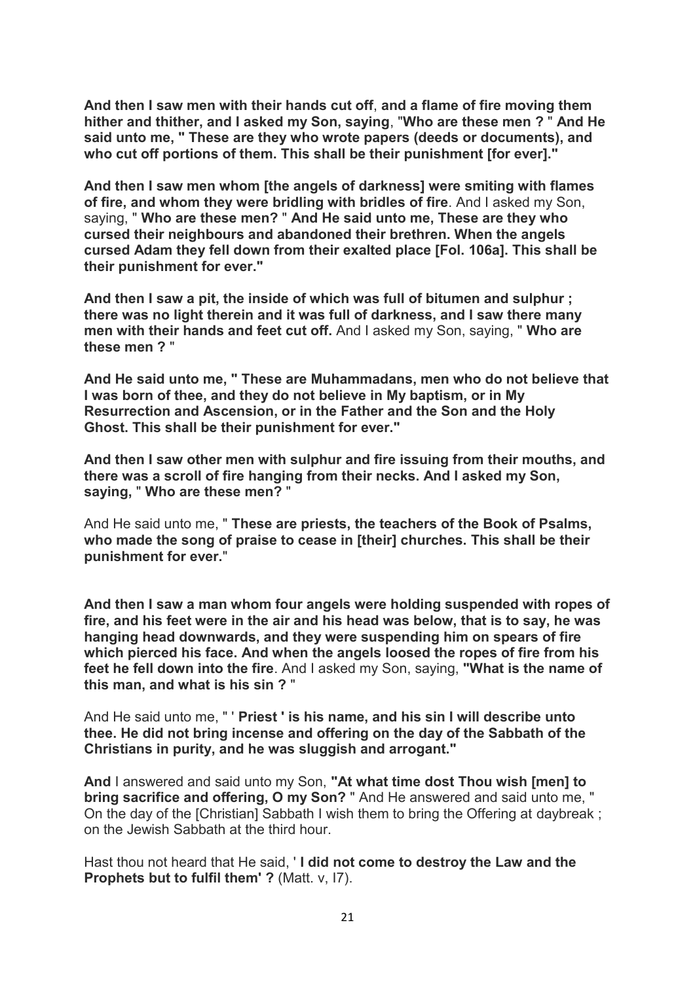**And then I saw men with their hands cut off**, **and a flame of fire moving them hither and thither, and I asked my Son, saying**, "**Who are these men ?** " **And He said unto me, " These are they who wrote papers (deeds or documents), and who cut off portions of them. This shall be their punishment [for ever]."**

**And then I saw men whom [the angels of darkness] were smiting with flames of fire, and whom they were bridling with bridles of fire**. And I asked my Son, saying, " **Who are these men?** " **And He said unto me, These are they who cursed their neighbours and abandoned their brethren. When the angels cursed Adam they fell down from their exalted place [Fol. 106a]. This shall be their punishment for ever."**

**And then I saw a pit, the inside of which was full of bitumen and sulphur ; there was no light therein and it was full of darkness, and I saw there many men with their hands and feet cut off.** And I asked my Son, saying, " **Who are these men ?** "

**And He said unto me, " These are Muhammadans, men who do not believe that I was born of thee, and they do not believe in My baptism, or in My Resurrection and Ascension, or in the Father and the Son and the Holy Ghost. This shall be their punishment for ever."**

**And then I saw other men with sulphur and fire issuing from their mouths, and there was a scroll of fire hanging from their necks. And I asked my Son, saying,** " **Who are these men?** "

And He said unto me, " **These are priests, the teachers of the Book of Psalms, who made the song of praise to cease in [their] churches. This shall be their punishment for ever.**"

**And then I saw a man whom four angels were holding suspended with ropes of fire, and his feet were in the air and his head was below, that is to say, he was hanging head downwards, and they were suspending him on spears of fire which pierced his face. And when the angels loosed the ropes of fire from his feet he fell down into the fire**. And I asked my Son, saying, **"What is the name of this man, and what is his sin ?** "

And He said unto me, " ' **Priest ' is his name, and his sin I will describe unto thee. He did not bring incense and offering on the day of the Sabbath of the Christians in purity, and he was sluggish and arrogant."**

**And** I answered and said unto my Son, **"At what time dost Thou wish [men] to bring sacrifice and offering, O my Son?** " And He answered and said unto me, " On the day of the [Christian] Sabbath I wish them to bring the Offering at daybreak ; on the Jewish Sabbath at the third hour.

Hast thou not heard that He said, ' **I did not come to destroy the Law and the Prophets but to fulfil them' ?** (Matt. v, 17).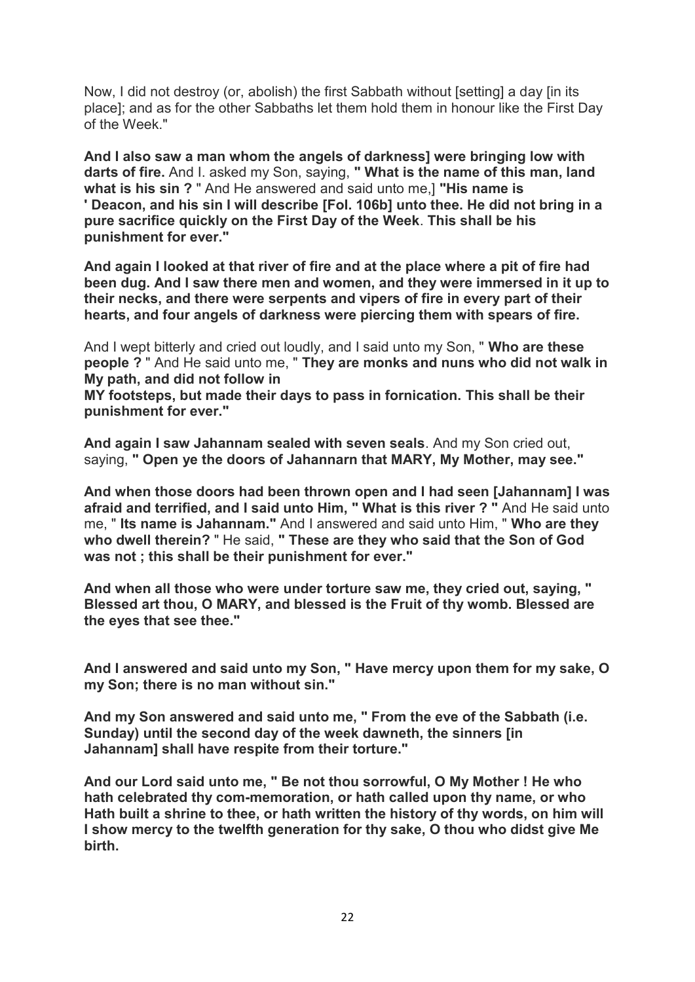Now, I did not destroy (or, abolish) the first Sabbath without [setting] a day [in its place]; and as for the other Sabbaths let them hold them in honour like the First Day of the Week."

**And I also saw a man whom the angels of darkness] were bringing low with darts of fire.** And I. asked my Son, saying, **" What is the name of this man, land what is his sin ?** " And He answered and said unto me,] **"His name is ' Deacon, and his sin I will describe [Fol. 106b] unto thee. He did not bring in a pure sacrifice quickly on the First Day of the Week**. **This shall be his punishment for ever."**

**And again I looked at that river of fire and at the place where a pit of fire had been dug. And I saw there men and women, and they were immersed in it up to their necks, and there were serpents and vipers of fire in every part of their hearts, and four angels of darkness were piercing them with spears of fire.**

And I wept bitterly and cried out loudly, and I said unto my Son, " **Who are these people ?** " And He said unto me, " **They are monks and nuns who did not walk in My path, and did not follow in**

**MY footsteps, but made their days to pass in fornication. This shall be their punishment for ever."**

**And again I saw Jahannam sealed with seven seals**. And my Son cried out, saying, **" Open ye the doors of Jahannarn that MARY, My Mother, may see."**

**And when those doors had been thrown open and I had seen [Jahannam] I was afraid and terrified, and I said unto Him, " What is this river ? "** And He said unto me, " **Its name is Jahannam."** And I answered and said unto Him, " **Who are they who dwell therein?** " He said, **" These are they who said that the Son of God was not ; this shall be their punishment for ever."**

**And when all those who were under torture saw me, they cried out, saying, " Blessed art thou, O MARY, and blessed is the Fruit of thy womb. Blessed are the eyes that see thee."**

**And I answered and said unto my Son, " Have mercy upon them for my sake, O my Son; there is no man without sin."**

**And my Son answered and said unto me, " From the eve of the Sabbath (i.e. Sunday) until the second day of the week dawneth, the sinners [in Jahannam] shall have respite from their torture."**

**And our Lord said unto me, " Be not thou sorrowful, O My Mother ! He who hath celebrated thy com-memoration, or hath called upon thy name, or who Hath built a shrine to thee, or hath written the history of thy words, on him will I show mercy to the twelfth generation for thy sake, O thou who didst give Me birth.**